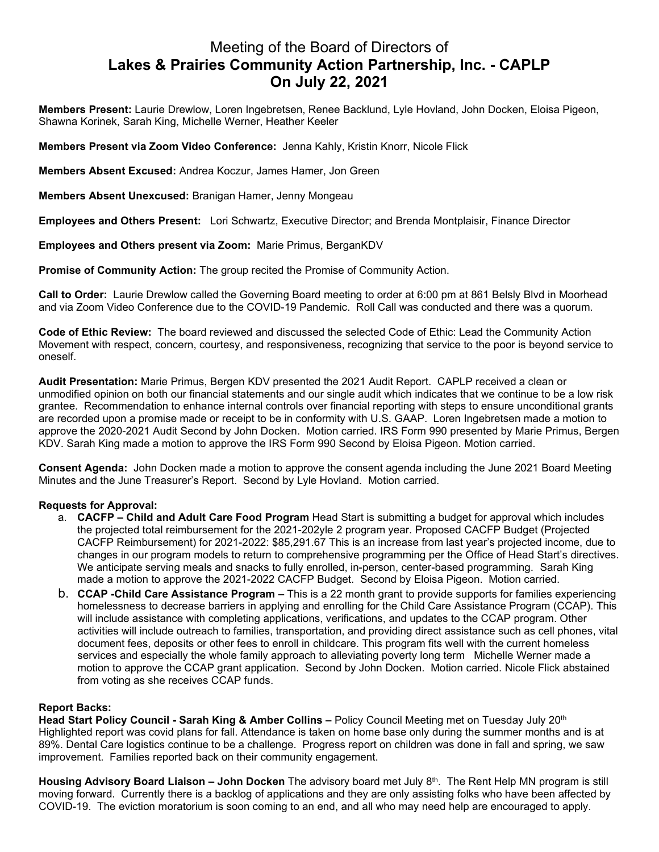## Meeting of the Board of Directors of **Lakes & Prairies Community Action Partnership, Inc. - CAPLP On July 22, 2021**

**Members Present:** Laurie Drewlow, Loren Ingebretsen, Renee Backlund, Lyle Hovland, John Docken, Eloisa Pigeon, Shawna Korinek, Sarah King, Michelle Werner, Heather Keeler

**Members Present via Zoom Video Conference:** Jenna Kahly, Kristin Knorr, Nicole Flick

**Members Absent Excused:** Andrea Koczur, James Hamer, Jon Green

**Members Absent Unexcused:** Branigan Hamer, Jenny Mongeau

**Employees and Others Present:** Lori Schwartz, Executive Director; and Brenda Montplaisir, Finance Director

**Employees and Others present via Zoom:** Marie Primus, BerganKDV

**Promise of Community Action:** The group recited the Promise of Community Action.

**Call to Order:** Laurie Drewlow called the Governing Board meeting to order at 6:00 pm at 861 Belsly Blvd in Moorhead and via Zoom Video Conference due to the COVID-19 Pandemic. Roll Call was conducted and there was a quorum.

**Code of Ethic Review:** The board reviewed and discussed the selected Code of Ethic: Lead the Community Action Movement with respect, concern, courtesy, and responsiveness, recognizing that service to the poor is beyond service to oneself.

**Audit Presentation:** Marie Primus, Bergen KDV presented the 2021 Audit Report. CAPLP received a clean or unmodified opinion on both our financial statements and our single audit which indicates that we continue to be a low risk grantee. Recommendation to enhance internal controls over financial reporting with steps to ensure unconditional grants are recorded upon a promise made or receipt to be in conformity with U.S. GAAP. Loren Ingebretsen made a motion to approve the 2020-2021 Audit Second by John Docken. Motion carried. IRS Form 990 presented by Marie Primus, Bergen KDV. Sarah King made a motion to approve the IRS Form 990 Second by Eloisa Pigeon. Motion carried.

**Consent Agenda:** John Docken made a motion to approve the consent agenda including the June 2021 Board Meeting Minutes and the June Treasurer's Report. Second by Lyle Hovland. Motion carried.

## **Requests for Approval:**

- a. **CACFP – Child and Adult Care Food Program** Head Start is submitting a budget for approval which includes the projected total reimbursement for the 2021-202yle 2 program year. Proposed CACFP Budget (Projected CACFP Reimbursement) for 2021-2022: \$85,291.67 This is an increase from last year's projected income, due to changes in our program models to return to comprehensive programming per the Office of Head Start's directives. We anticipate serving meals and snacks to fully enrolled, in-person, center-based programming. Sarah King made a motion to approve the 2021-2022 CACFP Budget. Second by Eloisa Pigeon. Motion carried.
- b. **CCAP -Child Care Assistance Program –** This is a 22 month grant to provide supports for families experiencing homelessness to decrease barriers in applying and enrolling for the Child Care Assistance Program (CCAP). This will include assistance with completing applications, verifications, and updates to the CCAP program. Other activities will include outreach to families, transportation, and providing direct assistance such as cell phones, vital document fees, deposits or other fees to enroll in childcare. This program fits well with the current homeless services and especially the whole family approach to alleviating poverty long term Michelle Werner made a motion to approve the CCAP grant application. Second by John Docken. Motion carried. Nicole Flick abstained from voting as she receives CCAP funds.

## **Report Backs:**

**Head Start Policy Council - Sarah King & Amber Collins –** Policy Council Meeting met on Tuesday July 20th Highlighted report was covid plans for fall. Attendance is taken on home base only during the summer months and is at 89%. Dental Care logistics continue to be a challenge. Progress report on children was done in fall and spring, we saw improvement. Families reported back on their community engagement.

**Housing Advisory Board Liaison – John Docken** The advisory board met July 8th. The Rent Help MN program is still moving forward. Currently there is a backlog of applications and they are only assisting folks who have been affected by COVID-19. The eviction moratorium is soon coming to an end, and all who may need help are encouraged to apply.